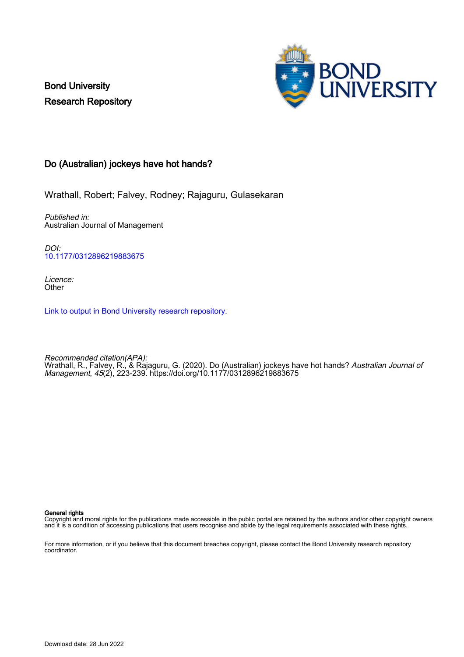Bond University Research Repository



# Do (Australian) jockeys have hot hands?

Wrathall, Robert; Falvey, Rodney; Rajaguru, Gulasekaran

Published in: Australian Journal of Management

DOI: [10.1177/0312896219883675](https://doi.org/10.1177/0312896219883675)

Licence: **Other** 

[Link to output in Bond University research repository.](https://research.bond.edu.au/en/publications/3991da84-3ea9-4461-9705-0b72fb739119)

Recommended citation(APA): Wrathall, R., Falvey, R., & Rajaguru, G. (2020). Do (Australian) jockeys have hot hands? *Australian Journal of* Management, 45(2), 223-239. <https://doi.org/10.1177/0312896219883675>

#### General rights

Copyright and moral rights for the publications made accessible in the public portal are retained by the authors and/or other copyright owners and it is a condition of accessing publications that users recognise and abide by the legal requirements associated with these rights.

For more information, or if you believe that this document breaches copyright, please contact the Bond University research repository coordinator.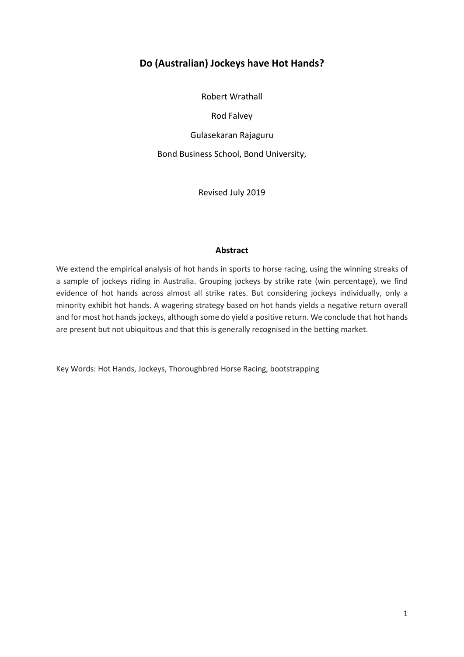# **Do (Australian) Jockeys have Hot Hands?**

Robert Wrathall

Rod Falvey

Gulasekaran Rajaguru

Bond Business School, Bond University,

Revised July 2019

### **Abstract**

We extend the empirical analysis of hot hands in sports to horse racing, using the winning streaks of a sample of jockeys riding in Australia. Grouping jockeys by strike rate (win percentage), we find evidence of hot hands across almost all strike rates. But considering jockeys individually, only a minority exhibit hot hands. A wagering strategy based on hot hands yields a negative return overall and for most hot hands jockeys, although some do yield a positive return. We conclude that hot hands are present but not ubiquitous and that this is generally recognised in the betting market.

Key Words: Hot Hands, Jockeys, Thoroughbred Horse Racing, bootstrapping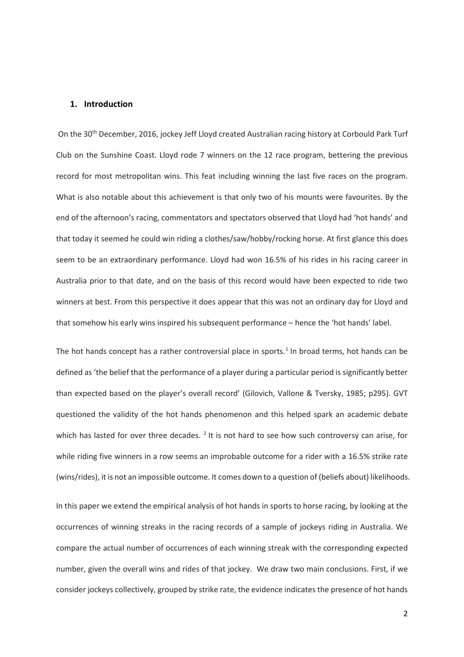### **1. Introduction**

On the 30<sup>th</sup> December, 2016, jockey Jeff Lloyd created Australian racing history at Corbould Park Turf Club on the Sunshine Coast. Lloyd rode 7 winners on the 12 race program, bettering the previous record for most metropolitan wins. This feat including winning the last five races on the program. What is also notable about this achievement is that only two of his mounts were favourites. By the end of the afternoon's racing, commentators and spectators observed that Lloyd had 'hot hands' and that today it seemed he could win riding a clothes/saw/hobby/rocking horse. At first glance this does seem to be an extraordinary performance. Lloyd had won 16.5% of his rides in his racing career in Australia prior to that date, and on the basis of this record would have been expected to ride two winners at best. From this perspective it does appear that this was not an ordinary day for Lloyd and that somehow his early wins inspired his subsequent performance – hence the 'hot hands' label.

The hot hands concept has a rather controversial place in sports.<sup>[1](#page-4-0)</sup> In broad terms, hot hands can be defined as 'the belief that the performance of a player during a particular period is significantly better than expected based on the player's overall record' (Gilovich, Vallone & Tversky, 1985; p295). GVT questioned the validity of the hot hands phenomenon and this helped spark an academic debate which has lasted for over three decades. <sup>[2](#page-4-1)</sup> It is not hard to see how such controversy can arise, for while riding five winners in a row seems an improbable outcome for a rider with a 16.5% strike rate (wins/rides), it is not an impossible outcome. It comes down to a question of (beliefs about) likelihoods.

In this paper we extend the empirical analysis of hot hands in sports to horse racing, by looking at the occurrences of winning streaks in the racing records of a sample of jockeys riding in Australia. We compare the actual number of occurrences of each winning streak with the corresponding expected number, given the overall wins and rides of that jockey. We draw two main conclusions. First, if we consider jockeys collectively, grouped by strike rate, the evidence indicates the presence of hot hands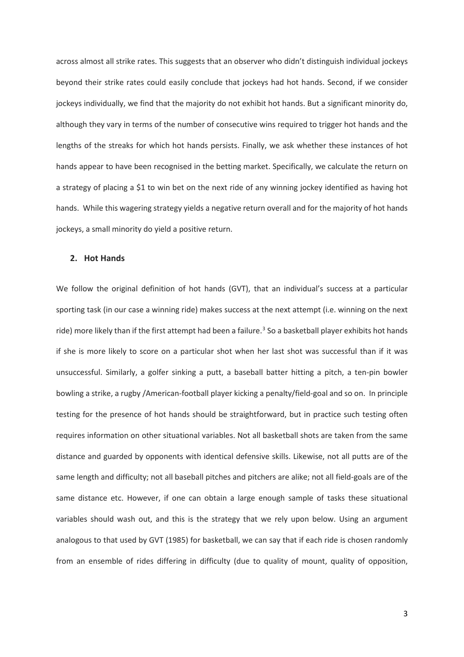across almost all strike rates. This suggests that an observer who didn't distinguish individual jockeys beyond their strike rates could easily conclude that jockeys had hot hands. Second, if we consider jockeys individually, we find that the majority do not exhibit hot hands. But a significant minority do, although they vary in terms of the number of consecutive wins required to trigger hot hands and the lengths of the streaks for which hot hands persists. Finally, we ask whether these instances of hot hands appear to have been recognised in the betting market. Specifically, we calculate the return on a strategy of placing a \$1 to win bet on the next ride of any winning jockey identified as having hot hands. While this wagering strategy yields a negative return overall and for the majority of hot hands jockeys, a small minority do yield a positive return.

#### **2. Hot Hands**

We follow the original definition of hot hands (GVT), that an individual's success at a particular sporting task (in our case a winning ride) makes success at the next attempt (i.e. winning on the next ride) more likely than if the first attempt had been a failure.<sup>[3](#page-4-2)</sup> So a basketball player exhibits hot hands if she is more likely to score on a particular shot when her last shot was successful than if it was unsuccessful. Similarly, a golfer sinking a putt, a baseball batter hitting a pitch, a ten-pin bowler bowling a strike, a rugby /American-football player kicking a penalty/field-goal and so on. In principle testing for the presence of hot hands should be straightforward, but in practice such testing often requires information on other situational variables. Not all basketball shots are taken from the same distance and guarded by opponents with identical defensive skills. Likewise, not all putts are of the same length and difficulty; not all baseball pitches and pitchers are alike; not all field-goals are of the same distance etc. However, if one can obtain a large enough sample of tasks these situational variables should wash out, and this is the strategy that we rely upon below. Using an argument analogous to that used by GVT (1985) for basketball, we can say that if each ride is chosen randomly from an ensemble of rides differing in difficulty (due to quality of mount, quality of opposition,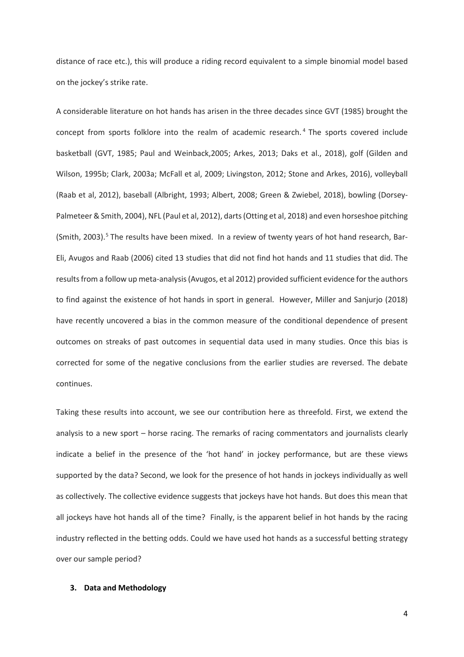distance of race etc.), this will produce a riding record equivalent to a simple binomial model based on the jockey's strike rate.

<span id="page-4-3"></span><span id="page-4-2"></span><span id="page-4-1"></span><span id="page-4-0"></span>A considerable literature on hot hands has arisen in the three decades since GVT (1985) brought the concept from sports folklore into the realm of academic research. [4](#page-4-3) The sports covered include basketball (GVT, 1985; Paul and Weinback,2005; Arkes, 2013; Daks et al., 2018), golf (Gilden and Wilson, 1995b; Clark, 2003a; McFall et al, 2009; Livingston, 2012; Stone and Arkes, 2016), volleyball (Raab et al, 2012), baseball (Albright, 1993; Albert, 2008; Green & Zwiebel, 2018), bowling (Dorsey-Palmeteer & Smith, 2004), NFL (Paul et al, 2012), darts (Otting et al, 2018) and even horseshoe pitching (Smith, 2003).<sup>[5](#page-4-4)</sup> The results have been mixed. In a review of twenty years of hot hand research, Bar-Eli, Avugos and Raab (2006) cited 13 studies that did not find hot hands and 11 studies that did. The results from a follow up meta-analysis (Avugos, et al 2012) provided sufficient evidence for the authors to find against the existence of hot hands in sport in general. However, Miller and Sanjurjo (2018) have recently uncovered a bias in the common measure of the conditional dependence of present outcomes on streaks of past outcomes in sequential data used in many studies. Once this bias is corrected for some of the negative conclusions from the earlier studies are reversed. The debate continues.

<span id="page-4-11"></span><span id="page-4-10"></span><span id="page-4-9"></span><span id="page-4-8"></span><span id="page-4-7"></span><span id="page-4-6"></span><span id="page-4-5"></span><span id="page-4-4"></span>Taking these results into account, we see our contribution here as threefold. First, we extend the analysis to a new sport – horse racing. The remarks of racing commentators and journalists clearly indicate a belief in the presence of the 'hot hand' in jockey performance, but are these views supported by the data? Second, we look for the presence of hot hands in jockeys individually as well as collectively. The collective evidence suggests that jockeys have hot hands. But does this mean that all jockeys have hot hands all of the time? Finally, is the apparent belief in hot hands by the racing industry reflected in the betting odds. Could we have used hot hands as a successful betting strategy over our sample period?

### <span id="page-4-14"></span><span id="page-4-13"></span><span id="page-4-12"></span>**3. Data and Methodology**

4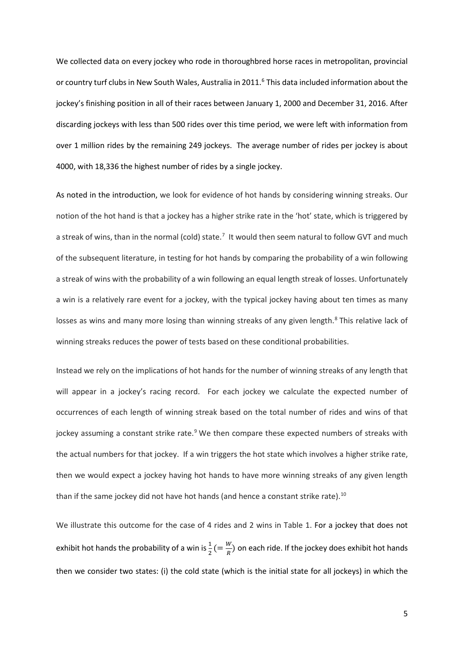<span id="page-5-0"></span>We collected data on every jockey who rode in thoroughbred horse races in metropolitan, provincial or country turf clubs in New South Wales, Australia in 2011.<sup>[6](#page-4-5)</sup> This data included information about the jockey's finishing position in all of their races between January 1, 2000 and December 31, 2016. After discarding jockeys with less than 500 rides over this time period, we were left with information from over 1 million rides by the remaining 249 jockeys. The average number of rides per jockey is about 4000, with 18,336 the highest number of rides by a single jockey.

<span id="page-5-8"></span><span id="page-5-7"></span><span id="page-5-6"></span><span id="page-5-5"></span><span id="page-5-4"></span><span id="page-5-3"></span><span id="page-5-2"></span><span id="page-5-1"></span>As noted in the introduction, we look for evidence of hot hands by considering winning streaks. Our notion of the hot hand is that a jockey has a higher strike rate in the 'hot' state, which is triggered by a streak of wins, than in the normal (cold) state. $^7$  $^7$  It would then seem natural to follow GVT and much of the subsequent literature, in testing for hot hands by comparing the probability of a win following a streak of wins with the probability of a win following an equal length streak of losses. Unfortunately a win is a relatively rare event for a jockey, with the typical jockey having about ten times as many losses as wins and many more losing than winning streaks of any given length.<sup>[8](#page-4-7)</sup> This relative lack of winning streaks reduces the power of tests based on these conditional probabilities.

Instead we rely on the implications of hot hands for the number of winning streaks of any length that will appear in a jockey's racing record. For each jockey we calculate the expected number of occurrences of each length of winning streak based on the total number of rides and wins of that jockey assuming a constant strike rate.<sup>[9](#page-4-8)</sup> We then compare these expected numbers of streaks with the actual numbers for that jockey. If a win triggers the hot state which involves a higher strike rate, then we would expect a jockey having hot hands to have more winning streaks of any given length than if the same jockey did not have hot hands (and hence a constant strike rate). $10$ 

We illustrate this outcome for the case of 4 rides and 2 wins in Table 1. For a jockey that does not exhibit hot hands the probability of a win is  $\frac{1}{2}$  (=  $\frac{W}{R}$ ) on each ride. If the jockey does exhibit hot hands then we consider two states: (i) the cold state (which is the initial state for all jockeys) in which the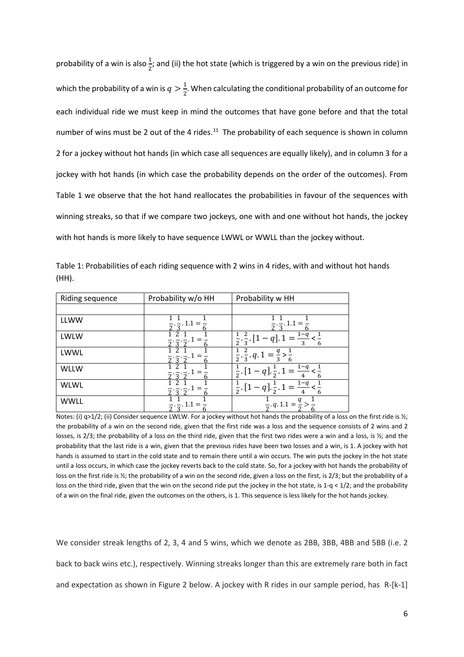probability of a win is also $\frac{1}{2}$ ; and (ii) the hot state (which is triggered by a win on the previous ride) in which the probability of a win is  $q > \frac{1}{2}$ . When calculating the conditional probability of an outcome for each individual ride we must keep in mind the outcomes that have gone before and that the total number of wins must be 2 out of the 4 rides.<sup>11</sup> The probability of each sequence is shown in column 2 for a jockey without hot hands (in which case all sequences are equally likely), and in column 3 for a jockey with hot hands (in which case the probability depends on the order of the outcomes). From Table 1 we observe that the hot hand reallocates the probabilities in favour of the sequences with winning streaks, so that if we compare two jockeys, one with and one without hot hands, the jockey with hot hands is more likely to have sequence LWWL or WWLL than the jockey without.

| Riding sequence | Probability w/o HH | Probability w HH                                                                                                                                |  |
|-----------------|--------------------|-------------------------------------------------------------------------------------------------------------------------------------------------|--|
|                 |                    |                                                                                                                                                 |  |
| <b>LLWW</b>     | 1.1                |                                                                                                                                                 |  |
| <b>LWLW</b>     |                    | <sup>2</sup><br>n                                                                                                                               |  |
| LWWL            |                    | $\overline{\phantom{a}}$ . $\overline{\phantom{a}}$ . $q$ .                                                                                     |  |
| <b>WLLW</b>     |                    | $1 - \theta$                                                                                                                                    |  |
| <b>WLWL</b>     |                    | $\overline{2}$ .                                                                                                                                |  |
| <b>WWLL</b>     | . 1.1 =            | $\frac{1}{2}$ . q. 1.1 =                                                                                                                        |  |
|                 |                    | Notes: (i) $q>1/2$ ; (ii) Consider sequence LWLW. For a jockey without hot hands the probability of a loss on the first ride is $\frac{1}{2}$ ; |  |

Table 1: Probabilities of each riding sequence with 2 wins in 4 rides, with and without hot hands (HH).

the probability of a win on the second ride, given that the first ride was a loss and the sequence consists of 2 wins and 2 losses, is 2/3; the probability of a loss on the third ride, given that the first two rides were a win and a loss, is  $\frac{1}{2}$ ; and the probability that the last ride is a win, given that the previous rides have been two losses and a win, is 1. A jockey with hot hands is assumed to start in the cold state and to remain there until a win occurs. The win puts the jockey in the hot state until a loss occurs, in which case the jockey reverts back to the cold state. So, for a jockey with hot hands the probability of loss on the first ride is 1/<sub>2</sub>; the probability of a win on the second ride, given a loss on the first, is 2/3; but the probability of a loss on the third ride, given that the win on the second ride put the jockey in the hot state, is  $1-q < 1/2$ ; and the probability of a win on the final ride, given the outcomes on the others, is 1. This sequence is less likely for the hot hands jockey.

We consider streak lengths of 2, 3, 4 and 5 wins, which we denote as 2BB, 3BB, 4BB and 5BB (i.e. 2 back to back wins etc.), respectively. Winning streaks longer than this are extremely rare both in fact and expectation as shown in Figure 2 below. A jockey with R rides in our sample period, has R-[k-1]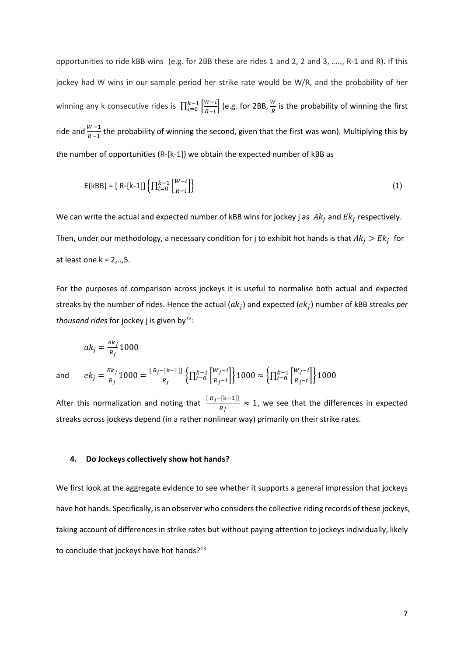opportunities to ride kBB wins (e.g. for 2BB these are rides 1 and 2, 2 and 3, ….., R-1 and R). If this jockey had W wins in our sample period her strike rate would be W/R, and the probability of her winning any k consecutive rides is  $\prod_{i=0}^{k-1} \frac{W^{-i}}{R-i}$  $\frac{k-1}{k-i} \left[ \frac{W-i}{R-i} \right]$  (e.g. for 2BB,  $\frac{W}{R}$  is the probability of winning the first ride and  $\frac{W-1}{R-1}$  the probability of winning the second, given that the first was won). Multiplying this by the number of opportunities (R-[k-1]) we obtain the expected number of kBB as

$$
E(kBB) = [R-[k-1]]\left\{\prod_{i=0}^{k-1} \begin{bmatrix} W-i \\ R-i \end{bmatrix}\right\}
$$
 (1)

We can write the actual and expected number of kBB wins for jockey j as  $Ak_j$  and  $Ek_j$  respectively. Then, under our methodology, a necessary condition for j to exhibit hot hands is that  $Ak_j > Ek_j$  for at least one  $k = 2, \ldots, 5$ .

For the purposes of comparison across jockeys it is useful to normalise both actual and expected streaks by the number of rides. Hence the actual  $( a k_i )$  and expected  $( e k_i )$  number of kBB streaks *per thousand rides* for jockey j is given by<sup>[12](#page-4-11)</sup>:

$$
ak_j = \frac{Ak_j}{R_j}1000
$$

and

$$
ek_j = \frac{Ek_j}{R_j} 1000 = \frac{[R_j - [k-1]]}{R_j} \left\{ \prod_{i=0}^{k-1} \left[ \frac{W_j - i}{R_j - i} \right] \right\} 1000 \approx \left\{ \prod_{i=0}^{k-1} \left[ \frac{W_j - i}{R_j - i} \right] \right\} 1000
$$

After this normalization and noting that  $\frac{[R_j - [k-1]]}{R_j} \approx 1$ , we see that the differences in expected streaks across jockeys depend (in a rather nonlinear way) primarily on their strike rates.

#### **4. Do Jockeys collectively show hot hands?**

We first look at the aggregate evidence to see whether it supports a general impression that jockeys have hot hands. Specifically, is an observer who considers the collective riding records of these jockeys, taking account of differences in strike rates but without paying attention to jockeys individually, likely to conclude that jockeys have hot hands?<sup>[13](#page-4-12)</sup>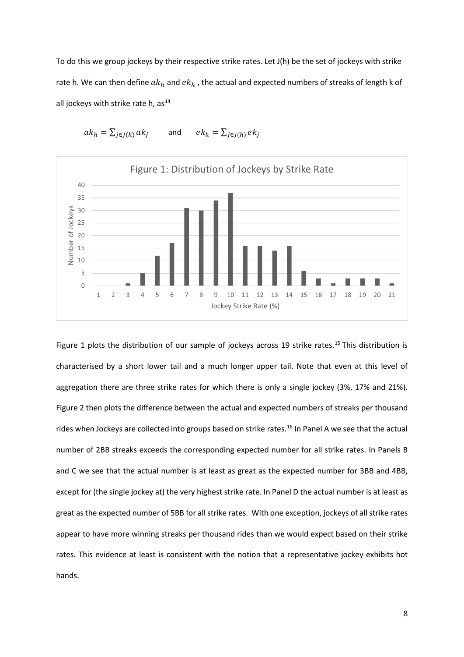To do this we group jockeys by their respective strike rates. Let J(h) be the set of jockeys with strike rate h. We can then define  $ak_h$  and  $ek_h$ , the actual and expected numbers of streaks of length k of all jockeys with strike rate h,  $as^{14}$  $as^{14}$  $as^{14}$ 



$$
ak_h = \sum_{j \in J(h)} ak_j \qquad \text{and} \qquad ek_h = \sum_{j \in J(h)} ek_j
$$

Figure 1 plots the distribution of our sample of jockeys across 19 strike rates.<sup>[15](#page-4-14)</sup> This distribution is characterised by a short lower tail and a much longer upper tail. Note that even at this level of aggregation there are three strike rates for which there is only a single jockey (3%, 17% and 21%). Figure 2 then plots the difference between the actual and expected numbers of streaks per thousand rides when Jockeys are collected into groups based on strike rates.<sup>16</sup> In Panel A we see that the actual number of 2BB streaks exceeds the corresponding expected number for all strike rates. In Panels B and C we see that the actual number is at least as great as the expected number for 3BB and 4BB, except for (the single jockey at) the very highest strike rate. In Panel D the actual number is at least as great as the expected number of 5BB for all strike rates. With one exception, jockeys of all strike rates appear to have more winning streaks per thousand rides than we would expect based on their strike rates. This evidence at least is consistent with the notion that a representative jockey exhibits hot hands.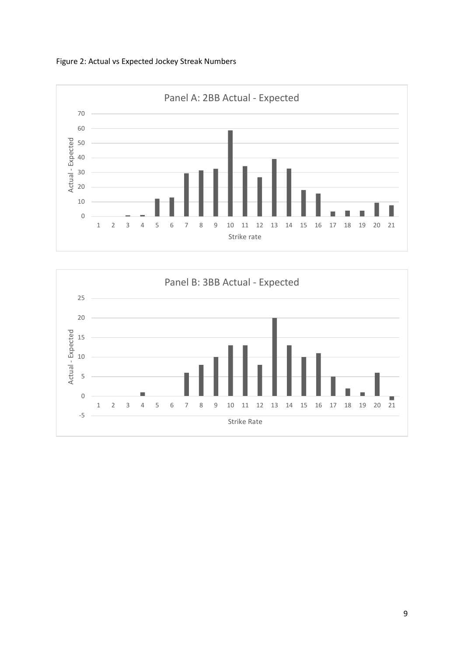Figure 2: Actual vs Expected Jockey Streak Numbers



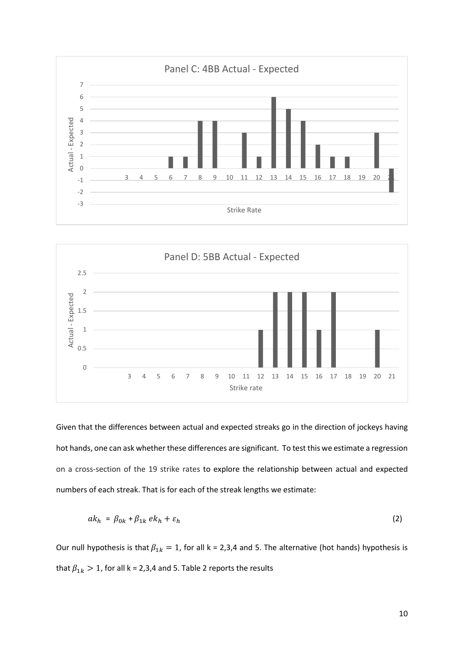



Given that the differences between actual and expected streaks go in the direction of jockeys having hot hands, one can ask whether these differences are significant. To test this we estimate a regression on a cross-section of the 19 strike rates to explore the relationship between actual and expected numbers of each streak. That is for each of the streak lengths we estimate:

$$
ak_h = \beta_{0k} + \beta_{1k} \, ek_h + \varepsilon_h \tag{2}
$$

Our null hypothesis is that  $\beta_{1k} = 1$ , for all k = 2,3,4 and 5. The alternative (hot hands) hypothesis is that  $\beta_{1k} > 1$ , for all k = 2,3,4 and 5. Table 2 reports the results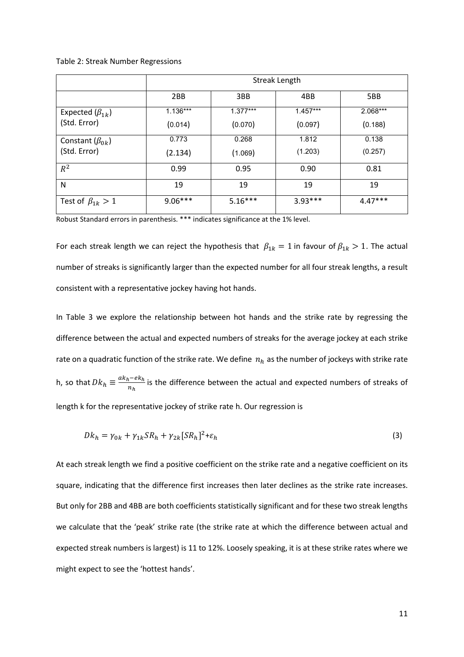Table 2: Streak Number Regressions

|                          | Streak Length |            |            |           |  |  |  |  |
|--------------------------|---------------|------------|------------|-----------|--|--|--|--|
|                          | 2BB           | 3BB        | 4BB        | 5BB       |  |  |  |  |
| Expected $(\beta_{1k})$  | 1.136***      | $1.377***$ | $1.457***$ | 2.068***  |  |  |  |  |
| (Std. Error)             | (0.014)       | (0.070)    | (0.097)    | (0.188)   |  |  |  |  |
| Constant $(\beta_{0k})$  | 0.773         | 0.268      | 1.812      | 0.138     |  |  |  |  |
| (Std. Error)             | (2.134)       | (1.069)    | (1.203)    | (0.257)   |  |  |  |  |
| $R^2$                    | 0.99          | 0.95       | 0.90       | 0.81      |  |  |  |  |
| N                        | 19            | 19         | 19         | 19        |  |  |  |  |
| Test of $\beta_{1k} > 1$ | $9.06***$     | $5.16***$  | $3.93***$  | $4.47***$ |  |  |  |  |

Robust Standard errors in parenthesis. \*\*\* indicates significance at the 1% level.

For each streak length we can reject the hypothesis that  $\beta_{1k} = 1$  in favour of  $\beta_{1k} > 1$ . The actual number of streaks is significantly larger than the expected number for all four streak lengths, a result consistent with a representative jockey having hot hands.

In Table 3 we explore the relationship between hot hands and the strike rate by regressing the difference between the actual and expected numbers of streaks for the average jockey at each strike rate on a quadratic function of the strike rate. We define  $n_h$  as the number of jockeys with strike rate h, so that  $Dk_h \equiv \frac{ak_h - e k_h}{n_h}$  is the difference between the actual and expected numbers of streaks of length k for the representative jockey of strike rate h. Our regression is

$$
Dk_h = \gamma_{0k} + \gamma_{1k} SR_h + \gamma_{2k} [SR_h]^2 + \varepsilon_h
$$
\n<sup>(3)</sup>

At each streak length we find a positive coefficient on the strike rate and a negative coefficient on its square, indicating that the difference first increases then later declines as the strike rate increases. But only for 2BB and 4BB are both coefficients statistically significant and for these two streak lengths we calculate that the 'peak' strike rate (the strike rate at which the difference between actual and expected streak numbers is largest) is 11 to 12%. Loosely speaking, it is at these strike rates where we might expect to see the 'hottest hands'.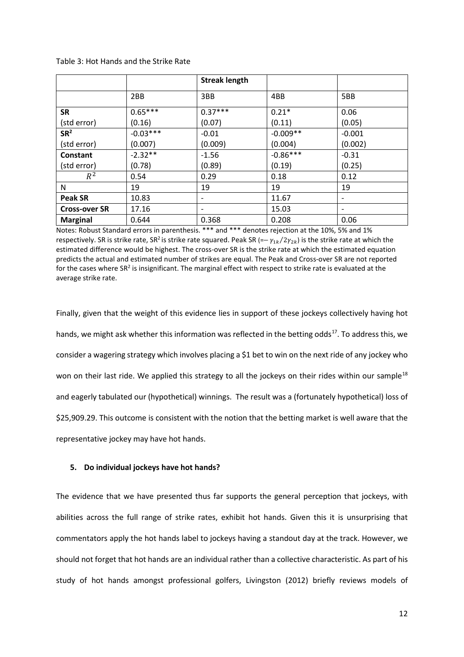|                      |            | <b>Streak length</b>     |            |          |
|----------------------|------------|--------------------------|------------|----------|
|                      | 2BB        | 3BB                      | 4BB        | 5BB      |
| SR                   | $0.65***$  | $0.37***$                | $0.21*$    | 0.06     |
| (std error)          | (0.16)     | (0.07)                   | (0.11)     | (0.05)   |
| SR <sup>2</sup>      | $-0.03***$ | $-0.01$                  | $-0.009**$ | $-0.001$ |
| (std error)          | (0.007)    | (0.009)                  | (0.004)    | (0.002)  |
| Constant             | $-2.32**$  | $-1.56$                  | $-0.86***$ | $-0.31$  |
| (std error)          | (0.78)     | (0.89)                   | (0.19)     | (0.25)   |
| $R^2$                | 0.54       | 0.29                     | 0.18       | 0.12     |
| Ν                    | 19         | 19                       | 19         | 19       |
| <b>Peak SR</b>       | 10.83      | $\overline{\phantom{a}}$ | 11.67      |          |
| <b>Cross-over SR</b> | 17.16      |                          | 15.03      |          |
| <b>Marginal</b>      | 0.644      | 0.368                    | 0.208      | 0.06     |

Table 3: Hot Hands and the Strike Rate

Notes: Robust Standard errors in parenthesis. \*\*\* and \*\*\* denotes rejection at the 10%, 5% and 1% respectively. SR is strike rate, SR<sup>2</sup> is strike rate squared. Peak SR (= $-\gamma_{1k}/2\gamma_{2k}$ ) is the strike rate at which the estimated difference would be highest. The cross-over SR is the strike rate at which the estimated equation predicts the actual and estimated number of strikes are equal. The Peak and Cross-over SR are not reported for the cases where SR<sup>2</sup> is insignificant. The marginal effect with respect to strike rate is evaluated at the average strike rate.

Finally, given that the weight of this evidence lies in support of these jockeys collectively having hot hands, we might ask whether this information was reflected in the betting odds<sup>17</sup>. To address this, we consider a wagering strategy which involves placing a \$1 bet to win on the next ride of any jockey who won on their last ride. We applied this strategy to all the jockeys on their rides within our sample<sup>[18](#page-5-2)</sup> and eagerly tabulated our (hypothetical) winnings. The result was a (fortunately hypothetical) loss of \$25,909.29. This outcome is consistent with the notion that the betting market is well aware that the representative jockey may have hot hands.

### **5. Do individual jockeys have hot hands?**

The evidence that we have presented thus far supports the general perception that jockeys, with abilities across the full range of strike rates, exhibit hot hands. Given this it is unsurprising that commentators apply the hot hands label to jockeys having a standout day at the track. However, we should not forget that hot hands are an individual rather than a collective characteristic. As part of his study of hot hands amongst professional golfers, Livingston (2012) briefly reviews models of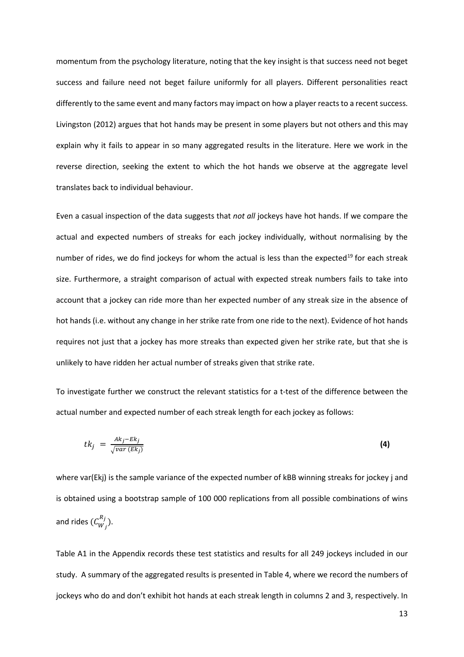momentum from the psychology literature, noting that the key insight is that success need not beget success and failure need not beget failure uniformly for all players. Different personalities react differently to the same event and many factors may impact on how a player reacts to a recent success. Livingston (2012) argues that hot hands may be present in some players but not others and this may explain why it fails to appear in so many aggregated results in the literature. Here we work in the reverse direction, seeking the extent to which the hot hands we observe at the aggregate level translates back to individual behaviour.

Even a casual inspection of the data suggests that *not all* jockeys have hot hands. If we compare the actual and expected numbers of streaks for each jockey individually, without normalising by the number of rides, we do find jockeys for whom the actual is less than the expected<sup>[19](#page-5-3)</sup> for each streak size. Furthermore, a straight comparison of actual with expected streak numbers fails to take into account that a jockey can ride more than her expected number of any streak size in the absence of hot hands (i.e. without any change in her strike rate from one ride to the next). Evidence of hot hands requires not just that a jockey has more streaks than expected given her strike rate, but that she is unlikely to have ridden her actual number of streaks given that strike rate.

To investigate further we construct the relevant statistics for a t-test of the difference between the actual number and expected number of each streak length for each jockey as follows:

$$
tk_j = \frac{Ak_j - Ek_j}{\sqrt{var(Ek_j)}}\tag{4}
$$

where var(Ekj) is the sample variance of the expected number of kBB winning streaks for jockey j and is obtained using a bootstrap sample of 100 000 replications from all possible combinations of wins and rides  $(C_{W_j}^{R_j}).$ 

Table A1 in the Appendix records these test statistics and results for all 249 jockeys included in our study. A summary of the aggregated results is presented in Table 4, where we record the numbers of jockeys who do and don't exhibit hot hands at each streak length in columns 2 and 3, respectively. In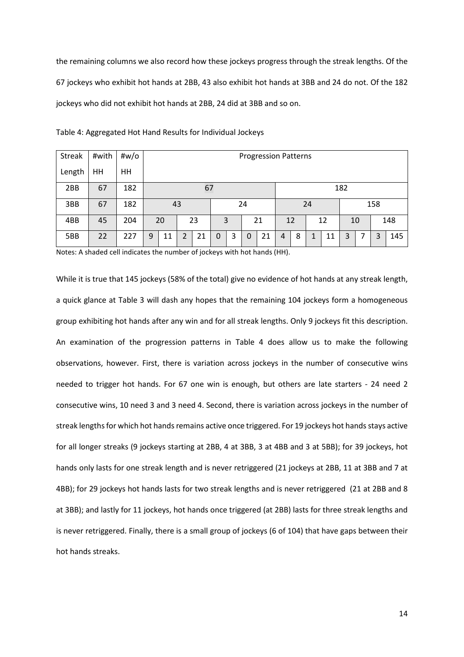the remaining columns we also record how these jockeys progress through the streak lengths. Of the 67 jockeys who exhibit hot hands at 2BB, 43 also exhibit hot hands at 3BB and 24 do not. Of the 182 jockeys who did not exhibit hot hands at 2BB, 24 did at 3BB and so on.

| <b>Streak</b> | #with | #w/o |    |                             |   |    |   |   |   |    |    |   |  |    |     |    |   |     |
|---------------|-------|------|----|-----------------------------|---|----|---|---|---|----|----|---|--|----|-----|----|---|-----|
|               |       |      |    | <b>Progression Patterns</b> |   |    |   |   |   |    |    |   |  |    |     |    |   |     |
| Length        | HН    | HH   |    |                             |   |    |   |   |   |    |    |   |  |    |     |    |   |     |
| 2BB           | 67    | 182  |    |                             |   | 67 |   |   |   |    |    |   |  |    | 182 |    |   |     |
| 3BB           | 67    | 182  | 43 |                             |   | 24 |   |   |   |    | 24 |   |  |    | 158 |    |   |     |
| 4BB           | 45    | 204  |    | 20                          |   | 23 |   | 3 |   | 21 | 12 |   |  | 12 |     | 10 |   | 148 |
| 5BB           | 22    | 227  | 9  | 11                          | 2 | 21 | 0 | 3 | 0 | 21 | 4  | 8 |  | 11 | 3   |    | 3 | 145 |

Table 4: Aggregated Hot Hand Results for Individual Jockeys

Notes: A shaded cell indicates the number of jockeys with hot hands (HH).

While it is true that 145 jockeys (58% of the total) give no evidence of hot hands at any streak length, a quick glance at Table 3 will dash any hopes that the remaining 104 jockeys form a homogeneous group exhibiting hot hands after any win and for all streak lengths. Only 9 jockeys fit this description. An examination of the progression patterns in Table 4 does allow us to make the following observations, however. First, there is variation across jockeys in the number of consecutive wins needed to trigger hot hands. For 67 one win is enough, but others are late starters - 24 need 2 consecutive wins, 10 need 3 and 3 need 4. Second, there is variation across jockeys in the number of streak lengths for which hot hands remains active once triggered. For 19 jockeys hot hands stays active for all longer streaks (9 jockeys starting at 2BB, 4 at 3BB, 3 at 4BB and 3 at 5BB); for 39 jockeys, hot hands only lasts for one streak length and is never retriggered (21 jockeys at 2BB, 11 at 3BB and 7 at 4BB); for 29 jockeys hot hands lasts for two streak lengths and is never retriggered (21 at 2BB and 8 at 3BB); and lastly for 11 jockeys, hot hands once triggered (at 2BB) lasts for three streak lengths and is never retriggered. Finally, there is a small group of jockeys (6 of 104) that have gaps between their hot hands streaks.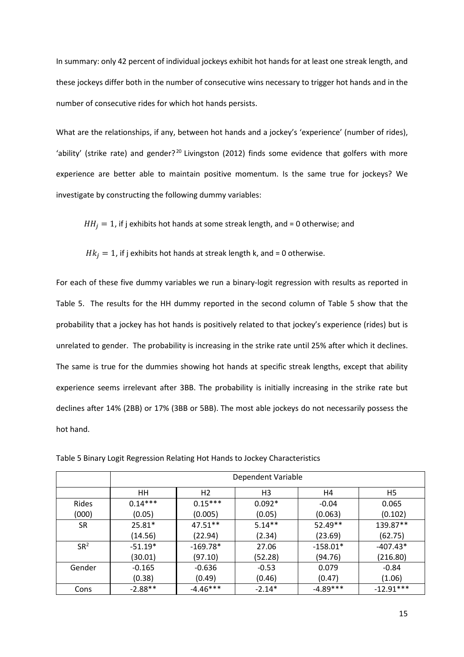In summary: only 42 percent of individual jockeys exhibit hot hands for at least one streak length, and these jockeys differ both in the number of consecutive wins necessary to trigger hot hands and in the number of consecutive rides for which hot hands persists.

What are the relationships, if any, between hot hands and a jockey's 'experience' (number of rides), 'ability' (strike rate) and gender?<sup>[20](#page-5-4)</sup> Livingston (2012) finds some evidence that golfers with more experience are better able to maintain positive momentum. Is the same true for jockeys? We investigate by constructing the following dummy variables:

 $HH_i = 1$ , if j exhibits hot hands at some streak length, and = 0 otherwise; and

 $Hk_i = 1$ , if j exhibits hot hands at streak length k, and = 0 otherwise.

For each of these five dummy variables we run a binary-logit regression with results as reported in Table 5. The results for the HH dummy reported in the second column of Table 5 show that the probability that a jockey has hot hands is positively related to that jockey's experience (rides) but is unrelated to gender. The probability is increasing in the strike rate until 25% after which it declines. The same is true for the dummies showing hot hands at specific streak lengths, except that ability experience seems irrelevant after 3BB. The probability is initially increasing in the strike rate but declines after 14% (2BB) or 17% (3BB or 5BB). The most able jockeys do not necessarily possess the hot hand.

|                 | Dependent Variable |                |                |            |             |  |  |  |
|-----------------|--------------------|----------------|----------------|------------|-------------|--|--|--|
|                 | HH.                | H <sub>2</sub> | H <sub>3</sub> | H4         | H5          |  |  |  |
| Rides           | $0.14***$          | $0.15***$      | $0.092*$       | $-0.04$    | 0.065       |  |  |  |
| (000)           | (0.05)             | (0.005)        | (0.05)         | (0.063)    | (0.102)     |  |  |  |
| SR.             | $25.81*$           | $47.51**$      | $5.14**$       | $52.49**$  | 139.87**    |  |  |  |
|                 | (14.56)            | (22.94)        | (2.34)         | (23.69)    | (62.75)     |  |  |  |
| SR <sup>2</sup> | $-51.19*$          | $-169.78*$     | 27.06          | $-158.01*$ | $-407.43*$  |  |  |  |
|                 | (30.01)            | (97.10)        | (52.28)        | (94.76)    | (216.80)    |  |  |  |
| Gender          | $-0.165$           | $-0.636$       | $-0.53$        | 0.079      | $-0.84$     |  |  |  |
|                 | (0.38)             | (0.49)         | (0.46)         | (0.47)     | (1.06)      |  |  |  |
| Cons            | $-2.88**$          | $-4.46***$     | $-2.14*$       | $-4.89***$ | $-12.91***$ |  |  |  |

Table 5 Binary Logit Regression Relating Hot Hands to Jockey Characteristics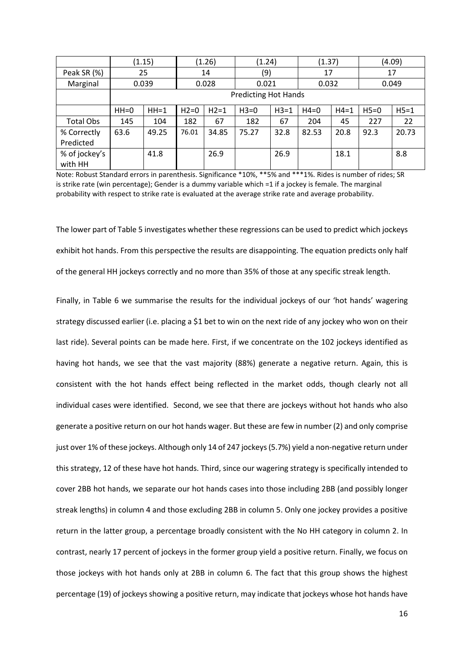|                          |        | (1.15) | (1.26)                      |        | (1.24) |        | (1.37) |        | (4.09) |        |
|--------------------------|--------|--------|-----------------------------|--------|--------|--------|--------|--------|--------|--------|
| Peak SR (%)              |        | 25     |                             | 14     |        | (9)    |        | 17     |        | 17     |
| Marginal                 |        | 0.039  |                             | 0.028  | 0.021  |        | 0.032  |        |        | 0.049  |
|                          |        |        | <b>Predicting Hot Hands</b> |        |        |        |        |        |        |        |
|                          | $HH=0$ | $HH=1$ | $H2=0$                      | $H2=1$ | $H3=0$ | $H3=1$ | $H4=0$ | $H4=1$ | $H5=0$ | $H5=1$ |
| Total Obs                | 145    | 104    | 182                         | 67     | 182    | 67     | 204    | 45     | 227    | 22     |
| % Correctly              | 63.6   | 49.25  | 76.01                       | 34.85  | 75.27  | 32.8   | 82.53  | 20.8   | 92.3   | 20.73  |
| Predicted                |        |        |                             |        |        |        |        |        |        |        |
| % of jockey's<br>with HH |        | 41.8   |                             | 26.9   |        | 26.9   |        | 18.1   |        | 8.8    |

Note: Robust Standard errors in parenthesis. Significance \*10%, \*\*5% and \*\*\*1%. Rides is number of rides; SR is strike rate (win percentage); Gender is a dummy variable which =1 if a jockey is female. The marginal probability with respect to strike rate is evaluated at the average strike rate and average probability.

The lower part of Table 5 investigates whether these regressions can be used to predict which jockeys exhibit hot hands. From this perspective the results are disappointing. The equation predicts only half of the general HH jockeys correctly and no more than 35% of those at any specific streak length.

Finally, in Table 6 we summarise the results for the individual jockeys of our 'hot hands' wagering strategy discussed earlier (i.e. placing a \$1 bet to win on the next ride of any jockey who won on their last ride). Several points can be made here. First, if we concentrate on the 102 jockeys identified as having hot hands, we see that the vast majority (88%) generate a negative return. Again, this is consistent with the hot hands effect being reflected in the market odds, though clearly not all individual cases were identified. Second, we see that there are jockeys without hot hands who also generate a positive return on our hot hands wager. But these are few in number (2) and only comprise just over 1% of these jockeys. Although only 14 of 247 jockeys (5.7%) yield a non-negative return under this strategy, 12 of these have hot hands. Third, since our wagering strategy is specifically intended to cover 2BB hot hands, we separate our hot hands cases into those including 2BB (and possibly longer streak lengths) in column 4 and those excluding 2BB in column 5. Only one jockey provides a positive return in the latter group, a percentage broadly consistent with the No HH category in column 2. In contrast, nearly 17 percent of jockeys in the former group yield a positive return. Finally, we focus on those jockeys with hot hands only at 2BB in column 6. The fact that this group shows the highest percentage (19) of jockeys showing a positive return, may indicate that jockeys whose hot hands have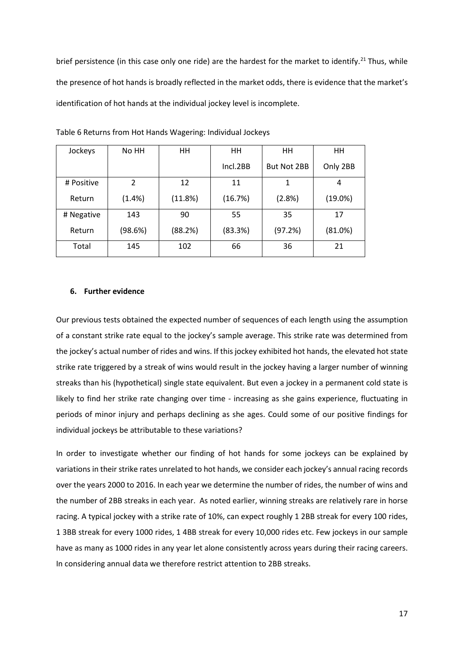brief persistence (in this case only one ride) are the hardest for the market to identify.<sup>[21](#page-5-5)</sup> Thus, while the presence of hot hands is broadly reflected in the market odds, there is evidence that the market's identification of hot hands at the individual jockey level is incomplete.

| Jockeys    | No HH                    | HH      | HH       | HH                 | HH         |
|------------|--------------------------|---------|----------|--------------------|------------|
|            |                          |         | Incl.2BB | <b>But Not 2BB</b> | Only 2BB   |
| # Positive | $\overline{\phantom{a}}$ | 12      | 11       | 1                  | 4          |
| Return     | (1.4% )                  | (11.8%) | (16.7%)  | (2.8%)             | $(19.0\%)$ |
| # Negative | 143                      | 90      | 55       | 35                 | 17         |
| Return     | (98.6%)                  | (88.2%) | (83.3%)  | (97.2%)            | (81.0%)    |
| Total      | 145                      | 102     | 66       | 36                 | 21         |

Table 6 Returns from Hot Hands Wagering: Individual Jockeys

#### **6. Further evidence**

Our previous tests obtained the expected number of sequences of each length using the assumption of a constant strike rate equal to the jockey's sample average. This strike rate was determined from the jockey's actual number of rides and wins. If this jockey exhibited hot hands, the elevated hot state strike rate triggered by a streak of wins would result in the jockey having a larger number of winning streaks than his (hypothetical) single state equivalent. But even a jockey in a permanent cold state is likely to find her strike rate changing over time - increasing as she gains experience, fluctuating in periods of minor injury and perhaps declining as she ages. Could some of our positive findings for individual jockeys be attributable to these variations?

In order to investigate whether our finding of hot hands for some jockeys can be explained by variations in their strike rates unrelated to hot hands, we consider each jockey's annual racing records over the years 2000 to 2016. In each year we determine the number of rides, the number of wins and the number of 2BB streaks in each year. As noted earlier, winning streaks are relatively rare in horse racing. A typical jockey with a strike rate of 10%, can expect roughly 1 2BB streak for every 100 rides, 1 3BB streak for every 1000 rides, 1 4BB streak for every 10,000 rides etc. Few jockeys in our sample have as many as 1000 rides in any year let alone consistently across years during their racing careers. In considering annual data we therefore restrict attention to 2BB streaks.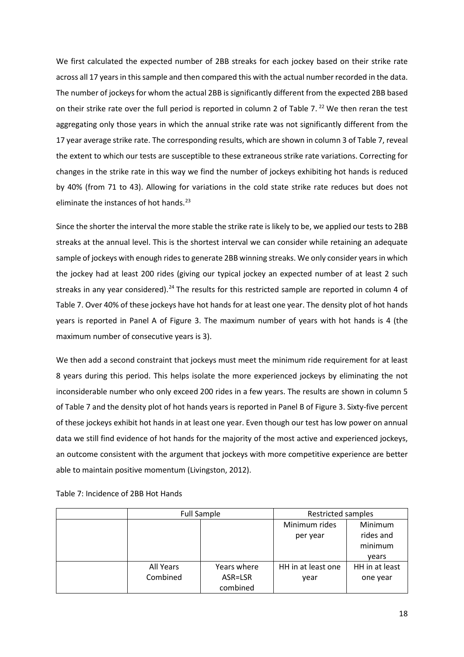We first calculated the expected number of 2BB streaks for each jockey based on their strike rate across all 17 years in this sample and then compared this with the actual number recorded in the data. The number of jockeys for whom the actual 2BB is significantly different from the expected 2BB based on their strike rate over the full period is reported in column 2 of Table 7.<sup>[22](#page-5-6)</sup> We then reran the test aggregating only those years in which the annual strike rate was not significantly different from the 17 year average strike rate. The corresponding results, which are shown in column 3 of Table 7, reveal the extent to which our tests are susceptible to these extraneous strike rate variations. Correcting for changes in the strike rate in this way we find the number of jockeys exhibiting hot hands is reduced by 40% (from 71 to 43). Allowing for variations in the cold state strike rate reduces but does not eliminate the instances of hot hands. $^{23}$  $^{23}$  $^{23}$ 

Since the shorter the interval the more stable the strike rate is likely to be, we applied our tests to 2BB streaks at the annual level. This is the shortest interval we can consider while retaining an adequate sample of jockeys with enough rides to generate 2BB winning streaks. We only consider years in which the jockey had at least 200 rides (giving our typical jockey an expected number of at least 2 such streaks in any year considered).<sup>[24](#page-5-8)</sup> The results for this restricted sample are reported in column 4 of Table 7. Over 40% of these jockeys have hot hands for at least one year. The density plot of hot hands years is reported in Panel A of Figure 3. The maximum number of years with hot hands is 4 (the maximum number of consecutive years is 3).

We then add a second constraint that jockeys must meet the minimum ride requirement for at least 8 years during this period. This helps isolate the more experienced jockeys by eliminating the not inconsiderable number who only exceed 200 rides in a few years. The results are shown in column 5 of Table 7 and the density plot of hot hands years is reported in Panel B of Figure 3. Sixty-five percent of these jockeys exhibit hot hands in at least one year. Even though our test has low power on annual data we still find evidence of hot hands for the majority of the most active and experienced jockeys, an outcome consistent with the argument that jockeys with more competitive experience are better able to maintain positive momentum (Livingston, 2012).

|                       | <b>Full Sample</b>                 | <b>Restricted samples</b>  |                                          |  |  |
|-----------------------|------------------------------------|----------------------------|------------------------------------------|--|--|
|                       |                                    | Minimum rides<br>per year  | Minimum<br>rides and<br>minimum<br>vears |  |  |
| All Years<br>Combined | Years where<br>ASR=LSR<br>combined | HH in at least one<br>year | HH in at least<br>one year               |  |  |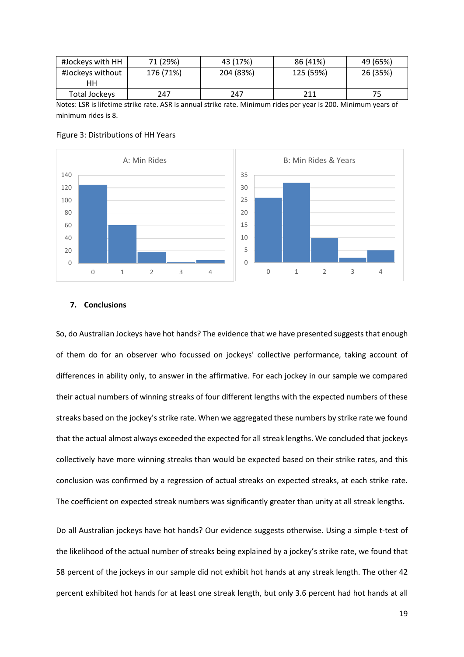| #Jockeys with HH | 71 (29%)  | 43 (17%)  | 86 (41%)  | 49 (65%) |
|------------------|-----------|-----------|-----------|----------|
| #Jockeys without | 176 (71%) | 204 (83%) | 125 (59%) | 26 (35%) |
| ΗН               |           |           |           |          |
| Total Jockeys    | 247       | 247       | 211       | 75       |

Notes: LSR is lifetime strike rate. ASR is annual strike rate. Minimum rides per year is 200. Minimum years of minimum rides is 8.





### **7. Conclusions**

So, do Australian Jockeys have hot hands? The evidence that we have presented suggests that enough of them do for an observer who focussed on jockeys' collective performance, taking account of differences in ability only, to answer in the affirmative. For each jockey in our sample we compared their actual numbers of winning streaks of four different lengths with the expected numbers of these streaks based on the jockey's strike rate. When we aggregated these numbers by strike rate we found that the actual almost always exceeded the expected for all streak lengths. We concluded that jockeys collectively have more winning streaks than would be expected based on their strike rates, and this conclusion was confirmed by a regression of actual streaks on expected streaks, at each strike rate. The coefficient on expected streak numbers was significantly greater than unity at all streak lengths.

Do all Australian jockeys have hot hands? Our evidence suggests otherwise. Using a simple t-test of the likelihood of the actual number of streaks being explained by a jockey's strike rate, we found that 58 percent of the jockeys in our sample did not exhibit hot hands at any streak length. The other 42 percent exhibited hot hands for at least one streak length, but only 3.6 percent had hot hands at all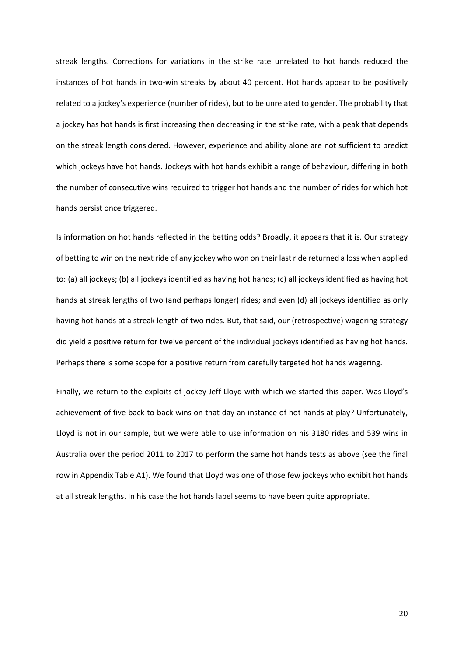streak lengths. Corrections for variations in the strike rate unrelated to hot hands reduced the instances of hot hands in two-win streaks by about 40 percent. Hot hands appear to be positively related to a jockey's experience (number of rides), but to be unrelated to gender. The probability that a jockey has hot hands is first increasing then decreasing in the strike rate, with a peak that depends on the streak length considered. However, experience and ability alone are not sufficient to predict which jockeys have hot hands. Jockeys with hot hands exhibit a range of behaviour, differing in both the number of consecutive wins required to trigger hot hands and the number of rides for which hot hands persist once triggered.

Is information on hot hands reflected in the betting odds? Broadly, it appears that it is. Our strategy of betting to win on the next ride of any jockey who won on their last ride returned a loss when applied to: (a) all jockeys; (b) all jockeys identified as having hot hands; (c) all jockeys identified as having hot hands at streak lengths of two (and perhaps longer) rides; and even (d) all jockeys identified as only having hot hands at a streak length of two rides. But, that said, our (retrospective) wagering strategy did yield a positive return for twelve percent of the individual jockeys identified as having hot hands. Perhaps there is some scope for a positive return from carefully targeted hot hands wagering.

Finally, we return to the exploits of jockey Jeff Lloyd with which we started this paper. Was Lloyd's achievement of five back-to-back wins on that day an instance of hot hands at play? Unfortunately, Lloyd is not in our sample, but we were able to use information on his 3180 rides and 539 wins in Australia over the period 2011 to 2017 to perform the same hot hands tests as above (see the final row in Appendix Table A1). We found that Lloyd was one of those few jockeys who exhibit hot hands at all streak lengths. In his case the hot hands label seems to have been quite appropriate.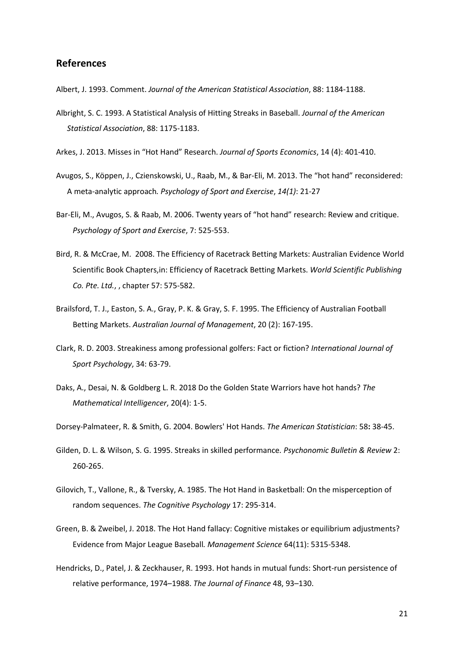## **References**

Albert, J. 1993. Comment. *Journal of the American Statistical Association*, 88: 1184-1188.

- Albright, S. C. 1993. A Statistical Analysis of Hitting Streaks in Baseball. *Journal of the American Statistical Association*, 88: 1175-1183.
- Arkes, J. 2013. Misses in "Hot Hand" Research. *Journal of Sports Economics*, 14 (4): 401-410.
- Avugos, S., Köppen, J., Czienskowski, U., Raab, M., & Bar-Eli, M. 2013. The "hot hand" reconsidered: A meta-analytic approach*. Psychology of Sport and Exercise*, *14(1)*: 21-27
- Bar-Eli, M., Avugos, S. & Raab, M. 2006. Twenty years of "hot hand" research: Review and critique. *Psychology of Sport and Exercise*, 7: 525-553.
- Bird, R. & McCrae, M. 2008. The Efficiency of Racetrack Betting Markets: Australian Evidence World Scientific Book Chapters,in: Efficiency of Racetrack Betting Markets. *World Scientific Publishing Co. Pte. Ltd.*, , chapter 57: 575-582.
- Brailsford, T. J., Easton, S. A., Gray, P. K. & Gray, S. F. 1995. The Efficiency of Australian Football Betting Markets. *Australian Journal of Management*, 20 (2): 167-195.
- Clark, R. D. 2003. Streakiness among professional golfers: Fact or fiction? *International Journal of Sport Psychology*, 34: 63-79.
- Daks, A., Desai, N. & Goldberg L. R. 2018 Do the Golden State Warriors have hot hands? *The Mathematical Intelligencer*, 20(4): 1-5.
- Dorsey-Palmateer, R. & Smith, G. 2004. Bowlers' Hot Hands. *The American Statistician*: 58**:** 38-45.
- Gilden, D. L. & Wilson, S. G. 1995. Streaks in skilled performance*. Psychonomic Bulletin & Review* 2: 260-265.
- Gilovich, T., Vallone, R., & Tversky, A. 1985. The Hot Hand in Basketball: On the misperception of random sequences. *The Cognitive Psychology* 17: 295-314.
- Green, B. & Zweibel, J. 2018. The Hot Hand fallacy: Cognitive mistakes or equilibrium adjustments? Evidence from Major League Baseball*. Management Science* 64(11): 5315-5348.
- Hendricks, D., Patel, J. & Zeckhauser, R. 1993. Hot hands in mutual funds: Short-run persistence of relative performance, 1974–1988. *The Journal of Finance* 48, 93–130.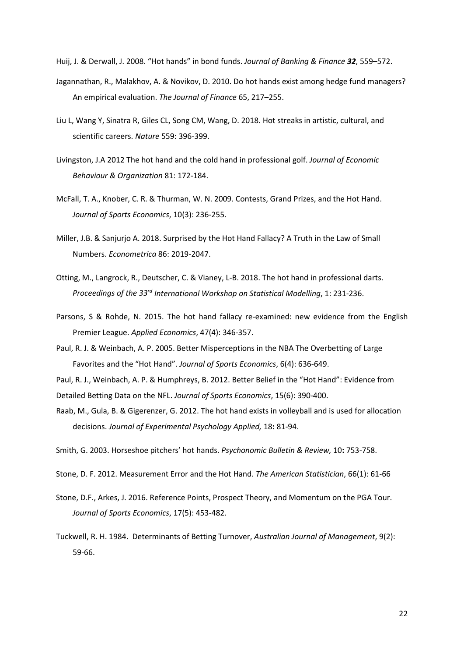Huij, J. & Derwall, J. 2008. "Hot hands" in bond funds. *Journal of Banking & Finance 32*, 559–572.

- Jagannathan, R., Malakhov, A. & Novikov, D. 2010. Do hot hands exist among hedge fund managers? An empirical evaluation. *The Journal of Finance* 65, 217–255.
- Liu L, Wang Y, Sinatra R, Giles CL, Song CM, Wang, D. 2018. Hot streaks in artistic, cultural, and scientific careers. *Nature* 559: 396-399.
- Livingston, J.A 2012 The hot hand and the cold hand in professional golf. *Journal of Economic Behaviour & Organization* 81: 172-184.
- McFall, T. A., Knober, C. R. & Thurman, W. N. 2009. Contests, Grand Prizes, and the Hot Hand. *Journal of Sports Economics*, 10(3): 236-255.
- Miller, J.B. & Sanjurjo A. 2018. Surprised by the Hot Hand Fallacy? A Truth in the Law of Small Numbers. *Econometrica* 86: 2019-2047.
- Otting, M., Langrock, R., Deutscher, C. & Vianey, L-B. 2018. The hot hand in professional darts. *Proceedings of the 33rd International Workshop on Statistical Modelling*, 1: 231-236.
- Parsons, S & Rohde, N. 2015. The hot hand fallacy re-examined: new evidence from the English Premier League. *Applied Economics*, 47(4): 346-357.
- Paul, R. J. & Weinbach, A. P. 2005. Better Misperceptions in the NBA The Overbetting of Large Favorites and the "Hot Hand". *Journal of Sports Economics*, 6(4): 636-649.

Paul, R. J., Weinbach, A. P. & Humphreys, B. 2012. Better Belief in the "Hot Hand": Evidence from

Detailed Betting Data on the NFL. *Journal of Sports Economics*, 15(6): 390-400.

Raab, M., Gula, B. & Gigerenzer, G. 2012. The hot hand exists in volleyball and is used for allocation decisions. *Journal of Experimental Psychology Applied,* 18**:** 81-94.

Smith, G. 2003. Horseshoe pitchers' hot hands. *Psychonomic Bulletin & Review,* 10**:** 753-758.

- Stone, D. F. 2012. Measurement Error and the Hot Hand. *The American Statistician*, 66(1): 61-66
- Stone, D.F., Arkes, J. 2016. Reference Points, Prospect Theory, and Momentum on the PGA Tour. *Journal of Sports Economics*, 17(5): 453-482.
- Tuckwell, R. H. 1984. Determinants of Betting Turnover, *Australian Journal of Management*, 9(2): 59-66.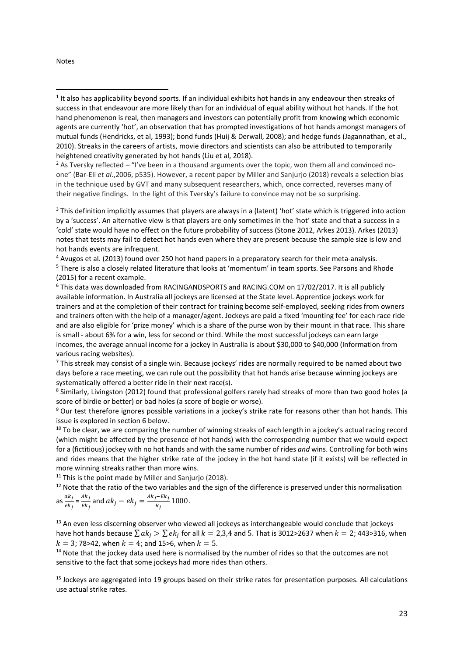#### Notes

**.** 

<sup>2</sup> As Tversky reflected – "I've been in a thousand arguments over the topic, won them all and convinced noone" (Bar-Eli *et al*.,2006, p535). However, a recent paper by Miller and Sanjurjo (2018) reveals a selection bias in the technique used by GVT and many subsequent researchers, which, once corrected, reverses many of their negative findings. In the light of this Tversky's failure to convince may not be so surprising.

<sup>3</sup> This definition implicitly assumes that players are always in a (latent) 'hot' state which is triggered into action by a 'success'. An alternative view is that players are only sometimes in the 'hot' state and that a success in a 'cold' state would have no effect on the future probability of success (Stone 2012, Arkes 2013). Arkes (2013) notes that tests may fail to detect hot hands even where they are present because the sample size is low and hot hands events are infrequent.

<sup>4</sup> Avugos et al. (2013) found over 250 hot hand papers in a preparatory search for their meta-analysis.<br><sup>5</sup> There is also a closely related literature that looks at 'momentum' in team sports. See Parsons and Rhode (2015) for a recent example.

<sup>6</sup> This data was downloaded from RACINGANDSPORTS and RACING.COM on 17/02/2017. It is all publicly available information. In Australia all jockeys are licensed at the State level. Apprentice jockeys work for trainers and at the completion of their contract for training become self-employed, seeking rides from owners and trainers often with the help of a manager/agent. Jockeys are paid a fixed 'mounting fee' for each race ride and are also eligible for 'prize money' which is a share of the purse won by their mount in that race. This share is small - about 6% for a win, less for second or third. While the most successful jockeys can earn large incomes, the average annual income for a jockey in Australia is about \$30,000 to \$40,000 (Information from various racing websites).

 $7$  This streak may consist of a single win. Because jockeys' rides are normally required to be named about two days before a race meeting, we can rule out the possibility that hot hands arise because winning jockeys are systematically offered a better ride in their next race(s).

<sup>8</sup> Similarly, Livingston (2012) found that professional golfers rarely had streaks of more than two good holes (a score of birdie or better) or bad holes (a score of bogie or worse).<br><sup>9</sup> Our test therefore ignores possible variations in a jockey's strike rate for reasons other than hot hands. This

issue is explored in section 6 below.

<sup>10</sup> To be clear, we are comparing the number of winning streaks of each length in a jockey's actual racing record (which might be affected by the presence of hot hands) with the corresponding number that we would expect for a (fictitious) jockey with no hot hands and with the same number of rides *and* wins. Controlling for both wins and rides means that the higher strike rate of the jockey in the hot hand state (if it exists) will be reflected in more winning streaks rather than more wins.

 $11$  This is the point made by Miller and Sanjurjo (2018).

 $12$  Note that the ratio of the two variables and the sign of the difference is preserved under this normalisation  $\mathbf{a}$ 

as 
$$
\frac{ak_j}{ek_j} = \frac{Ak_j}{Ek_j}
$$
 and  $ak_j - ek_j = \frac{Ak_j - Ek_j}{R_j}$  1000

<sup>13</sup> An even less discerning observer who viewed all jockeys as interchangeable would conclude that jockeys have hot hands because  $\sum a k_j > \sum e k_j$  for all  $k = 2,3,4$  and 5. That is 3012>2637 when  $k = 2$ ; 443>316, when  $k = 3$ ; 78>42, when  $k = 4$ ; and 15>6, when  $k = 5$ .

 $14$  Note that the jockey data used here is normalised by the number of rides so that the outcomes are not sensitive to the fact that some jockeys had more rides than others.

 $15$  Jockeys are aggregated into 19 groups based on their strike rates for presentation purposes. All calculations use actual strike rates.

<sup>&</sup>lt;sup>1</sup> It also has applicability beyond sports. If an individual exhibits hot hands in any endeavour then streaks of success in that endeavour are more likely than for an individual of equal ability without hot hands. If the hot hand phenomenon is real, then managers and investors can potentially profit from knowing which economic agents are currently 'hot', an observation that has prompted investigations of hot hands amongst managers of mutual funds (Hendricks, et al, 1993); bond funds (Huij & Derwall, 2008); and hedge funds (Jagannathan, et al., 2010). Streaks in the careers of artists, movie directors and scientists can also be attributed to temporarily heightened creativity generated by hot hands (Liu et al, 2018).